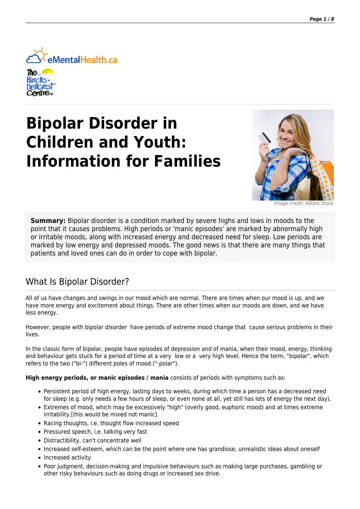

# **Bipolar Disorder in Children and Youth: Information for Families**



Image credit: Adobe

**Summary:** Bipolar disorder is a condition marked by severe highs and lows in moods to the point that it causes problems. High periods or 'manic episodes' are marked by abnormally high or irritable moods, along with increased energy and decreased need for sleep. Low periods are marked by low energy and depressed moods. The good news is that there are many things that patients and loved ones can do in order to cope with bipolar.

### What Is Bipolar Disorder?

All of us have changes and swings in our mood which are normal. There are times when our mood is up, and we have more energy and excitement about things. There are other times when our moods are down, and we have less energy.

However, people with bipolar disorder have periods of extreme mood change that cause serious problems in their lives.

In the classic form of bipolar, people have episodes of depression and of mania, when their mood, energy, thinking and behaviour gets stuck for a period of time at a very low or a very high level. Hence the term, "bipolar", which refers to the two ("bi-") different poles of mood ("-polar").

#### **High energy periods, or manic episodes / mania** consists of periods with symptoms such as:

- Persistent period of high energy, lasting days to weeks, during which time a person has a decreased need for sleep (e.g. only needs a few hours of sleep, or even none at all, yet still has lots of energy the next day).
- Extremes of mood, which may be excessively "high" (overly good, euphoric mood) and at times extreme irritability.[this would be mixed not manic]
- Racing thoughts, i.e. thought flow increased speed
- Pressured speech, i.e. talking very fast
- Distractibility, can't concentrate well
- Increased self-esteem, which can be the point where one has grandiose, unrealistic ideas about oneself
- Increased activity
- Poor judgment, decision-making and impulsive behaviours such as making large purchases, gambling or other risky behaviours such as doing drugs or increased sex drive.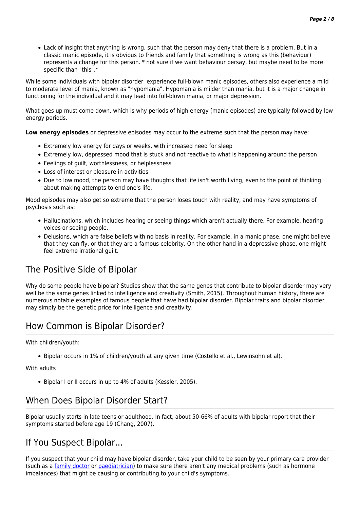Lack of insight that anything is wrong, such that the person may deny that there is a problem. But in a classic manic episode, it is obvious to friends and family that something is wrong as this (behaviour) represents a change for this person. \* not sure if we want behaviour persay, but maybe need to be more specific than "this".\*

While some individuals with bipolar disorder experience full-blown manic episodes, others also experience a mild to moderate level of mania, known as "hypomania". Hypomania is milder than mania, but it is a major change in functioning for the individual and it may lead into full-blown mania, or major depression.

What goes up must come down, which is why periods of high energy (manic episodes) are typically followed by low energy periods.

**Low energy episodes** or depressive episodes may occur to the extreme such that the person may have:

- Extremely low energy for days or weeks, with increased need for sleep
- Extremely low, depressed mood that is stuck and not reactive to what is happening around the person
- Feelings of guilt, worthlessness, or helplessness
- Loss of interest or pleasure in activities
- Due to low mood, the person may have thoughts that life isn't worth living, even to the point of thinking about making attempts to end one's life.

Mood episodes may also get so extreme that the person loses touch with reality, and may have symptoms of psychosis such as:

- Hallucinations, which includes hearing or seeing things which aren't actually there. For example, hearing voices or seeing people.
- Delusions, which are false beliefs with no basis in reality. For example, in a manic phase, one might believe that they can fly, or that they are a famous celebrity. On the other hand in a depressive phase, one might feel extreme irrational guilt.

### The Positive Side of Bipolar

Why do some people have bipolar? Studies show that the same genes that contribute to bipolar disorder may very well be the same genes linked to intelligence and creativity (Smith, 2015). Throughout human history, there are numerous notable examples of famous people that have had bipolar disorder. Bipolar traits and bipolar disorder may simply be the genetic price for intelligence and creativity.

# How Common is Bipolar Disorder?

With children/youth:

Bipolar occurs in 1% of children/youth at any given time (Costello et al., Lewinsohn et al).

#### With adults

Bipolar I or II occurs in up to 4% of adults (Kessler, 2005).

# When Does Bipolar Disorder Start?

Bipolar usually starts in late teens or adulthood. In fact, about 50-66% of adults with bipolar report that their symptoms started before age 19 (Chang, 2007).

### If You Suspect Bipolar...

If you suspect that your child may have bipolar disorder, take your child to be seen by your primary care provider (such as a [family doctor](https://primarycare.ementalhealth.ca/index.php?m=heading&ID=73) or [paediatrician](https://primarycare.ementalhealth.ca/index.php?m=heading&ID=430)) to make sure there aren't any medical problems (such as hormone imbalances) that might be causing or contributing to your child's symptoms.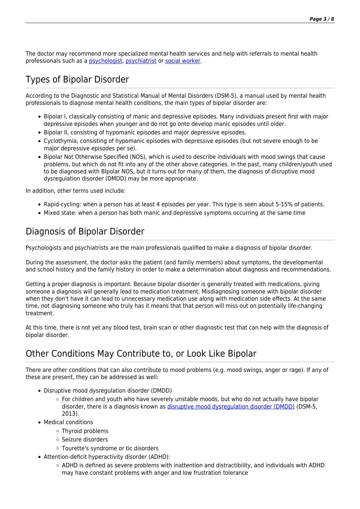The doctor may recommend more specialized mental health services and help with referrals to mental health professionals such as a [psychologist](https://primarycare.ementalhealth.ca/index.php?m=heading&ID=54), [psychiatrist](https://primarycare.ementalhealth.ca/index.php?m=heading&ID=22) or [social worker](https://primarycare.ementalhealth.ca/index.php?m=heading&ID=55).

# Types of Bipolar Disorder

According to the Diagnostic and Statistical Manual of Mental Disorders (DSM-5), a manual used by mental health professionals to diagnose mental health conditions, the main types of bipolar disorder are:

- Bipolar I, classically consisting of manic and depressive episodes. Many individuals present first with major depressive episodes when younger and do not go onto develop manic episodes until older.
- **Bipolar II, consisting of hypomanic episodes and major depressive episodes.**
- Cyclothymia, consisting of hypomanic episodes with depressive episodes (but not severe enough to be major depressive episodes per se).
- Bipolar Not Otherwise Specified (NOS), which is used to describe individuals with mood swings that cause problems, but which do not fit into any of the other above categories. In the past, many children/youth used to be diagnosed with BIpolar NOS, but it turns out for many of them, the diagnosis of disruptive mood dysregulation disorder (DMDD) may be more appropriate.

In addition, other terms used include:

- Rapid-cycling: when a person has at least 4 episodes per year. This type is seen about 5-15% of patients.
- Mixed state: when a person has both manic and depressive symptoms occurring at the same time

# Diagnosis of Bipolar Disorder

Psychologists and psychiatrists are the main professionals qualified to make a diagnosis of bipolar disorder.

During the assessment, the doctor asks the patient (and family members) about symptoms, the developmental and school history and the family history in order to make a determination about diagnosis and recommendations.

Getting a proper diagnosis is important. Because bipolar disorder is generally treated with medications, giving someone a diagnosis will generally lead to medication treatment. Misdiagnosing someone with bipolar disorder when they don't have it can lead to unnecessary medication use along with medication side effects. At the same time, not diagnosing someone who truly has it means that that person will miss out on potentially life-changing treatment.

At this time, there is not yet any blood test, brain scan or other diagnostic test that can help with the diagnosis of bipolar disorder.

# Other Conditions May Contribute to, or Look Like Bipolar

There are other conditions that can also contribute to mood problems (e.g. mood swings, anger or rage). If any of these are present, they can be addressed as well:

- Disruptive mood dysregulation disorder (DMDD)
	- For children and youth who have severely unstable moods, but who do not actually have bipolar disorder, there is a diagnosis known as [disruptive mood dysregulation disorder \(DMDD\)](http://www.nimh.nih.gov/health/topics/disruptive-mood-dysregulation-disorder-dmdd/disruptive-mood-dysregulation-disorder.shtml) (DSM-5, 2013).
- Medical conditions
	- Thyroid problems
	- o Seizure disorders
	- Tourette's syndrome or tic disorders
- Attention-deficit hyperactivity disorder (ADHD):
	- ADHD is defined as severe problems with inattention and distractibility, and individuals with ADHD may have constant problems with anger and low frustration tolerance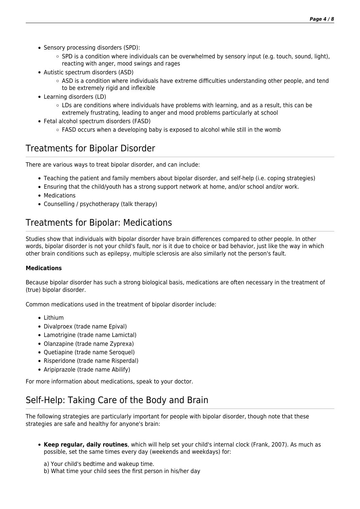- Sensory processing disorders (SPD):
	- $\circ$  SPD is a condition where individuals can be overwhelmed by sensory input (e.g. touch, sound, light), reacting with anger, mood swings and rages
- Autistic spectrum disorders (ASD)
	- o ASD is a condition where individuals have extreme difficulties understanding other people, and tend to be extremely rigid and inflexible
- Learning disorders (LD)
	- $\circ$  LDs are conditions where individuals have problems with learning, and as a result, this can be extremely frustrating, leading to anger and mood problems particularly at school
- Fetal alcohol spectrum disorders (FASD)
	- $\circ$  FASD occurs when a developing baby is exposed to alcohol while still in the womb

### Treatments for Bipolar Disorder

There are various ways to treat bipolar disorder, and can include:

- Teaching the patient and family members about bipolar disorder, and self-help (i.e. coping strategies)
- Ensuring that the child/youth has a strong support network at home, and/or school and/or work.
- Medications
- Counselling / psychotherapy (talk therapy)

# Treatments for Bipolar: Medications

Studies show that individuals with bipolar disorder have brain differences compared to other people. In other words, bipolar disorder is not your child's fault, nor is it due to choice or bad behavior, just like the way in which other brain conditions such as epilepsy, multiple sclerosis are also similarly not the person's fault.

#### **Medications**

Because bipolar disorder has such a strong biological basis, medications are often necessary in the treatment of (true) bipolar disorder.

Common medications used in the treatment of bipolar disorder include:

- Lithium
- Divalproex (trade name Epival)
- Lamotrigine (trade name Lamictal)
- Olanzapine (trade name Zyprexa)
- Quetiapine (trade name Seroquel)
- Risperidone (trade name Risperdal)
- Aripiprazole (trade name Abilify)

For more information about medications, speak to your doctor.

# Self-Help: Taking Care of the Body and Brain

The following strategies are particularly important for people with bipolar disorder, though note that these strategies are safe and healthy for anyone's brain:

- **Keep regular, daily routines**, which will help set your child's internal clock (Frank, 2007). As much as possible, set the same times every day (weekends and weekdays) for:
	- a) Your child's bedtime and wakeup time.
	- b) What time your child sees the first person in his/her day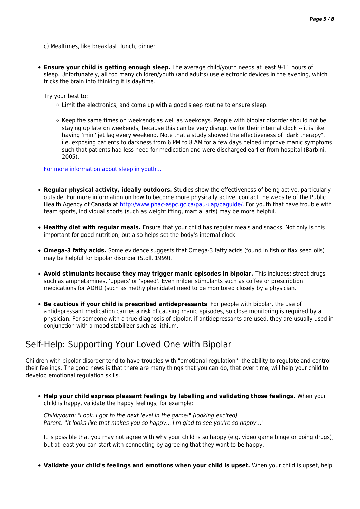c) Mealtimes, like breakfast, lunch, dinner

**Ensure your child is getting enough sleep.** The average child/youth needs at least 9-11 hours of sleep. Unfortunately, all too many children/youth (and adults) use electronic devices in the evening, which tricks the brain into thinking it is daytime.

Try your best to:

- $\circ$  Limit the electronics, and come up with a good sleep routine to ensure sleep.
- $\circ$  Keep the same times on weekends as well as weekdays. People with bipolar disorder should not be staying up late on weekends, because this can be very disruptive for their internal clock -- it is like having 'mini' jet lag every weekend. Note that a study showed the effectiveness of "dark therapy", i.e. exposing patients to darkness from 6 PM to 8 AM for a few days helped improve manic symptoms such that patients had less need for medication and were discharged earlier from hospital (Barbini, 2005).

#### [For more information about sleep in youth...](https://primarycare.ementalhealth.ca/index.php?m=article&ID=21575)

- **Regular physical activity, ideally outdoors.** Studies show the effectiveness of being active, particularly outside. For more information on how to become more physically active, contact the website of the Public Health Agency of Canada at<http://www.phac-aspc.gc.ca/pau-uap/paguide/>. For youth that have trouble with team sports, individual sports (such as weightlifting, martial arts) may be more helpful.
- **Healthy diet with regular meals.** Ensure that your child has regular meals and snacks. Not only is this important for good nutrition, but also helps set the body's internal clock.
- **Omega-3 fatty acids.** Some evidence suggests that Omega-3 fatty acids (found in fish or flax seed oils) may be helpful for bipolar disorder (Stoll, 1999).
- **Avoid stimulants because they may trigger manic episodes in bipolar.** This includes: street drugs such as amphetamines, 'uppers' or 'speed'. Even milder stimulants such as coffee or prescription medications for ADHD (such as methylphenidate) need to be monitored closely by a physician.
- **Be cautious if your child is prescribed antidepressants**. For people with bipolar, the use of antidepressant medication carries a risk of causing manic episodes, so close monitoring is required by a physician. For someone with a true diagnosis of bipolar, if antidepressants are used, they are usually used in conjunction with a mood stabilizer such as lithium.

### Self-Help: Supporting Your Loved One with Bipolar

Children with bipolar disorder tend to have troubles with "emotional regulation", the ability to regulate and control their feelings. The good news is that there are many things that you can do, that over time, will help your child to develop emotional regulation skills.

**Help your child express pleasant feelings by labelling and validating those feelings.** When your child is happy, validate the happy feelings, for example:

Child/youth: "Look, I got to the next level in the game!" (looking excited) Parent: "It looks like that makes you so happy... I'm glad to see you're so happy..."

It is possible that you may not agree with why your child is so happy (e.g. video game binge or doing drugs), but at least you can start with connecting by agreeing that they want to be happy.

**Validate your child's feelings and emotions when your child is upset.** When your child is upset, help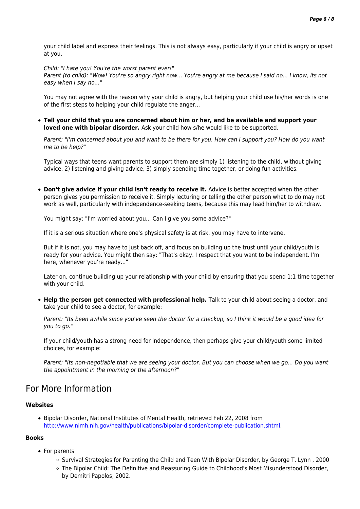your child label and express their feelings. This is not always easy, particularly if your child is angry or upset at you.

Child: "I hate you! You're the worst parent ever!"

Parent (to child): "Wow! You're so angry right now... You're angry at me because I said no... I know, its not easy when I say no..."

You may not agree with the reason why your child is angry, but helping your child use his/her words is one of the first steps to helping your child regulate the anger...

**Tell your child that you are concerned about him or her, and be available and support your loved one with bipolar disorder.** Ask your child how s/he would like to be supported.

Parent: "I'm concerned about you and want to be there for you. How can I support you? How do you want me to be help?"

Typical ways that teens want parents to support them are simply 1) listening to the child, without giving advice, 2) listening and giving advice, 3) simply spending time together, or doing fun activities.

**Don't give advice if your child isn't ready to receive it.** Advice is better accepted when the other person gives you permission to receive it. Simply lecturing or telling the other person what to do may not work as well, particularly with independence-seeking teens, because this may lead him/her to withdraw.

You might say: "I'm worried about you... Can I give you some advice?"

If it is a serious situation where one's physical safety is at risk, you may have to intervene.

But if it is not, you may have to just back off, and focus on building up the trust until your child/youth is ready for your advice. You might then say: "That's okay. I respect that you want to be independent. I'm here, whenever you're ready..."

Later on, continue building up your relationship with your child by ensuring that you spend 1:1 time together with your child.

**Help the person get connected with professional help.** Talk to your child about seeing a doctor, and take your child to see a doctor, for example:

Parent: "Its been awhile since you've seen the doctor for a checkup, so I think it would be a good idea for you to go."

If your child/youth has a strong need for independence, then perhaps give your child/youth some limited choices, for example:

Parent: "Its non-negotiable that we are seeing your doctor. But you can choose when we go... Do you want the appointment in the morning or the afternoon?"

### For More Information

#### **Websites**

Bipolar Disorder, National Institutes of Mental Health, retrieved Feb 22, 2008 from <http://www.nimh.nih.gov/health/publications/bipolar-disorder/complete-publication.shtml>.

#### **Books**

- For parents
	- Survival Strategies for Parenting the Child and Teen With Bipolar Disorder, by George T. Lynn, 2000
	- The Bipolar Child: The Definitive and Reassuring Guide to Childhood's Most Misunderstood Disorder, by Demitri Papolos, 2002.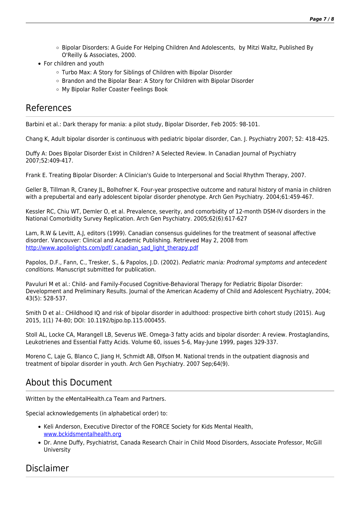- Bipolar Disorders: A Guide For Helping Children And Adolescents, by Mitzi Waltz, Published By O'Reilly & Associates, 2000.
- For children and youth
	- Turbo Max: A Story for Siblings of Children with Bipolar Disorder
	- Brandon and the Bipolar Bear: A Story for Children with Bipolar Disorder
	- My Bipolar Roller Coaster Feelings Book

### References

Barbini et al.: Dark therapy for mania: a pilot study, Bipolar Disorder, Feb 2005: 98-101.

Chang K, Adult bipolar disorder is continuous with pediatric bipolar disorder, Can. J. Psychiatry 2007; 52: 418-425.

Duffy A: Does Bipolar Disorder Exist in Children? A Selected Review. In Canadian Journal of Psychiatry 2007;52:409-417.

Frank E. Treating Bipolar Disorder: A Clinician's Guide to Interpersonal and Social Rhythm Therapy, 2007.

Geller B, Tillman R, Craney JL, Bolhofner K. Four-year prospective outcome and natural history of mania in children with a prepubertal and early adolescent bipolar disorder phenotype. Arch Gen Psychiatry. 2004;61:459-467.

Kessler RC, Chiu WT, Demler O, et al. Prevalence, severity, and comorbidity of 12-month DSM-IV disorders in the National Comorbidity Survey Replication. Arch Gen Psychiatry. 2005;62(6):617-627

Lam, R.W & Levitt, A.J, editors (1999). Canadian consensus guidelines for the treatment of seasonal affective disorder. Vancouver: Clinical and Academic Publishing. Retrieved May 2, 2008 from [http://www.apollolights.com/pdf/ canadian\\_sad\\_light\\_therapy.pdf](http://www.apollolights.com/pdf/%20canadian_sad_light_therapy.pdf)

Papolos, D.F., Fann, C., Tresker, S., & Papolos, J.D. (2002). Pediatric mania: Prodromal symptoms and antecedent conditions. Manuscript submitted for publication.

Pavuluri M et al.: Child- and Family-Focused Cognitive-Behavioral Therapy for Pediatric Bipolar Disorder: Development and Preliminary Results. Journal of the American Academy of Child and Adolescent Psychiatry, 2004; 43(5): 528-537.

Smith D et al.: CHildhood IQ and risk of bipolar disorder in adulthood: prospective birth cohort study (2015). Aug 2015, 1(1) 74-80; DOI: 10.1192/bjpo.bp.115.000455.

Stoll AL, Locke CA, Marangell LB, Severus WE. Omega-3 fatty acids and bipolar disorder: A review. Prostaglandins, Leukotrienes and Essential Fatty Acids. Volume 60, issues 5-6, May-June 1999, pages 329-337.

Moreno C, Laje G, Blanco C, Jiang H, Schmidt AB, Olfson M. National trends in the outpatient diagnosis and treatment of bipolar disorder in youth. Arch Gen Psychiatry. 2007 Sep;64(9).

### About this Document

Written by the eMentalHealth.ca Team and Partners.

Special acknowledgements (in alphabetical order) to:

- Keli Anderson, Executive Director of the FORCE Society for Kids Mental Health, [www.bckidsmentalhealth.org](http://www.bckidsmentalhealth.org/)
- Dr. Anne Duffy, Psychiatrist, Canada Research Chair in Child Mood Disorders, Associate Professor, McGill University

### Disclaimer